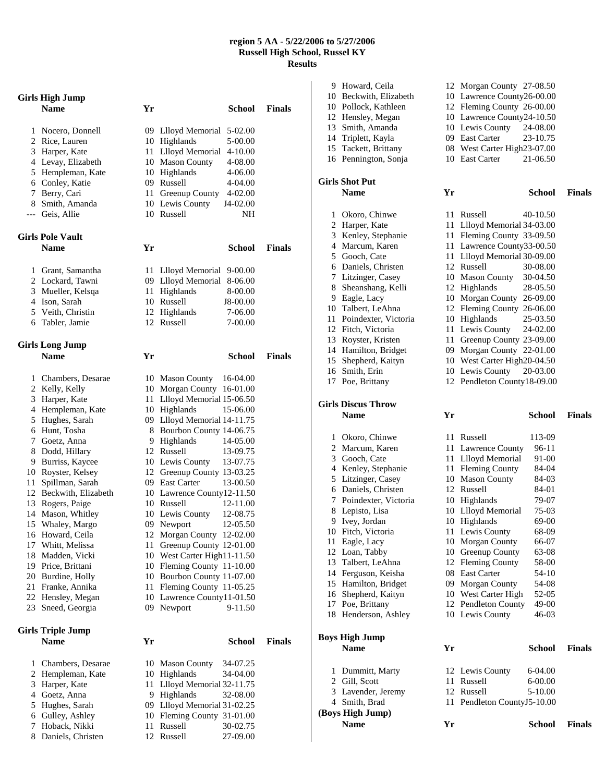## **region 5 AA - 5/22/2006 to 5/27/2006 Russell High School, Russel KY Results**

|        | Girls High Jump                   |    |                                                        |               |  |
|--------|-----------------------------------|----|--------------------------------------------------------|---------------|--|
|        | <b>Name</b>                       | Yr | <b>School</b>                                          | <b>Finals</b> |  |
|        |                                   |    | 09 Llloyd Memorial                                     |               |  |
| 1      | Nocero, Donnell<br>2 Rice, Lauren |    | 5-02.00<br>10 Highlands<br>5-00.00                     |               |  |
| 3      | Harper, Kate                      |    | 11 Llloyd Memorial<br>4-10.00                          |               |  |
|        | 4 Levay, Elizabeth                |    | 10 Mason County<br>4-08.00                             |               |  |
| 5      | Hempleman, Kate                   |    | 10 Highlands<br>4-06.00                                |               |  |
| 6      | Conley, Katie                     |    | 09 Russell<br>4-04.00                                  |               |  |
| 7      | Berry, Cari                       | 11 | Greenup County<br>4-02.00                              |               |  |
| 8      | Smith, Amanda                     |    | 10 Lewis County<br>J4-02.00                            |               |  |
| ---    | Geis, Allie                       |    | 10 Russell                                             | NΗ            |  |
|        | <b>Girls Pole Vault</b>           |    |                                                        |               |  |
|        | <b>Name</b>                       | Yr | <b>School</b>                                          | <b>Finals</b> |  |
|        |                                   |    |                                                        |               |  |
| 1      | Grant, Samantha                   |    | 11 Llloyd Memorial<br>9-00.00                          |               |  |
|        | 2 Lockard, Tawni                  |    | 09 Llloyd Memorial 8-06.00                             |               |  |
| 3      | Mueller, Kelsqa                   |    | 11 Highlands<br>8-00.00                                |               |  |
|        | 4 Ison, Sarah                     |    | 10 Russell<br>J8-00.00                                 |               |  |
|        | 5 Veith, Christin                 | 12 | Highlands<br>7-06.00                                   |               |  |
|        | 6 Tabler, Jamie                   |    | 12 Russell<br>7-00.00                                  |               |  |
|        | <b>Girls Long Jump</b>            |    |                                                        |               |  |
|        | <b>Name</b>                       | Yr | <b>School</b>                                          | <b>Finals</b> |  |
|        |                                   |    |                                                        |               |  |
| 1      | Chambers, Desarae                 |    | 10 Mason County<br>16-04.00                            |               |  |
|        | 2 Kelly, Kelly                    |    | 10 Morgan County 16-01.00                              |               |  |
| 3      | Harper, Kate                      |    | 11 Llloyd Memorial 15-06.50                            |               |  |
| 4<br>5 | Hempleman, Kate                   |    | 10 Highlands<br>15-06.00                               |               |  |
| 6      | Hughes, Sarah<br>Hunt, Tosha      |    | 09 Llloyd Memorial 14-11.75<br>Bourbon County 14-06.75 |               |  |
| 7      | Goetz, Anna                       | 8  | 14-05.00<br>9 Highlands                                |               |  |
| 8      | Dodd, Hillary                     |    | 12 Russell<br>13-09.75                                 |               |  |
| 9      | Burriss, Kaycee                   |    | 10 Lewis County<br>13-07.75                            |               |  |
|        | 10 Royster, Kelsey                |    | 12 Greenup County 13-03.25                             |               |  |
| 11     | Spillman, Sarah                   |    | 09 East Carter<br>13-00.50                             |               |  |
| 12     | Beckwith, Elizabeth               |    | 10 Lawrence County12-11.50                             |               |  |
| 13     | Rogers, Paige                     |    | 10 Russell<br>12-11.00                                 |               |  |
| 14     | Mason, Whitley                    |    | 10 Lewis County<br>12-08.75                            |               |  |
|        | 15 Whaley, Margo                  |    | 09 Newport<br>12-05.50                                 |               |  |
|        | 16 Howard, Ceila                  |    | 12 Morgan County 12-02.00                              |               |  |
|        | 17 Whitt, Melissa                 |    | 11 Greenup County 12-01.00                             |               |  |
| 18     | Madden, Vicki                     |    | 10 West Carter High11-11.50                            |               |  |
| 19     | Price, Brittani                   |    | 10 Fleming County 11-10.00                             |               |  |
|        | 20 Burdine, Holly                 |    | 10 Bourbon County 11-07.00                             |               |  |
| 21     | Franke, Annika                    |    | 11 Fleming County 11-05.25                             |               |  |
|        | 22 Hensley, Megan                 |    | 10 Lawrence County11-01.50                             |               |  |
| 23     | Sneed, Georgia                    | 09 | Newport<br>9-11.50                                     |               |  |
|        | <b>Girls Triple Jump</b>          |    |                                                        |               |  |
|        | <b>Name</b>                       | Yr | School                                                 | <b>Finals</b> |  |
| 1      | Chambers, Desarae                 |    | 10 Mason County<br>34-07.25                            |               |  |
| 2      | Hempleman, Kate                   |    | 10 Highlands<br>34-04.00                               |               |  |
| 3      | Harper, Kate                      | 11 | Llloyd Memorial 32-11.75                               |               |  |
| 4      | Goetz, Anna                       |    | 9 Highlands<br>32-08.00                                |               |  |
| 5      | Hughes, Sarah                     |    | 09 Llloyd Memorial 31-02.25                            |               |  |
| 6      | Gulley, Ashley                    |    | 10 Fleming County 31-01.00                             |               |  |
| 7      | Hoback, Nikki                     | 11 | Russell<br>30-02.75                                    |               |  |
| 8      | Daniels, Christen                 | 12 | Russell<br>27-09.00                                    |               |  |

8 Daniels, Christen 12 Russell

|   | 9 Howard, Ceila                         |    | 12 Morgan County 27-08.50                                 |               |
|---|-----------------------------------------|----|-----------------------------------------------------------|---------------|
|   | 10 Beckwith, Elizabeth                  |    | 10 Lawrence County26-00.00                                |               |
|   | 10 Pollock, Kathleen                    |    | 12 Fleming County 26-00.00                                |               |
|   | 12 Hensley, Megan                       |    | 10 Lawrence County24-10.50                                |               |
|   | 13 Smith, Amanda                        |    | 10 Lewis County<br>24-08.00                               |               |
|   | 14 Triplett, Kayla                      |    | 09 East Carter<br>23-10.75                                |               |
|   | 15 Tackett, Brittany                    |    | 08 West Carter High23-07.00                               |               |
|   | 16 Pennington, Sonja                    |    | 10 East Carter<br>21-06.50                                |               |
|   | <b>Girls Shot Put</b>                   |    |                                                           |               |
|   | <b>Name</b>                             | Yr | <b>School</b>                                             | <b>Finals</b> |
|   |                                         |    |                                                           |               |
|   | 1 Okoro, Chinwe                         |    | 11 Russell<br>40-10.50                                    |               |
|   | 2 Harper, Kate                          |    | 11 Llloyd Memorial 34-03.00                               |               |
|   | 3 Kenley, Stephanie                     |    | 11 Fleming County 33-09.50                                |               |
|   | 4 Marcum, Karen                         |    | 11 Lawrence County33-00.50<br>11 Llloyd Memorial 30-09.00 |               |
|   | 5 Gooch, Cate<br>6 Daniels, Christen    |    | 12 Russell<br>30-08.00                                    |               |
|   | 7 Litzinger, Casey                      |    | 10 Mason County<br>30-04.50                               |               |
|   | 8 Sheanshang, Kelli                     |    | 12 Highlands<br>28-05.50                                  |               |
|   | 9 Eagle, Lacy                           |    | 10 Morgan County 26-09.00                                 |               |
|   | 10 Talbert, LeAhna                      |    | 12 Fleming County 26-06.00                                |               |
|   | 11 Poindexter, Victoria                 |    | 10 Highlands<br>25-03.50                                  |               |
|   | 12 Fitch, Victoria                      |    | 11 Lewis County<br>24-02.00                               |               |
|   | 13 Royster, Kristen                     |    | 11 Greenup County 23-09.00                                |               |
|   | 14 Hamilton, Bridget                    |    | 09 Morgan County 22-01.00                                 |               |
|   | 15 Shepherd, Kaityn                     |    | 10 West Carter High20-04.50                               |               |
|   | 16 Smith, Erin                          |    | 10 Lewis County<br>20-03.00                               |               |
|   | 17 Poe, Brittany                        |    | 12 Pendleton County18-09.00                               |               |
|   | <b>Girls Discus Throw</b>               |    |                                                           |               |
|   |                                         |    |                                                           |               |
|   |                                         |    |                                                           |               |
|   | <b>Name</b>                             | Yr | <b>School</b>                                             | <b>Finals</b> |
|   | 1 Okoro, Chinwe                         |    | 11 Russell<br>113-09                                      |               |
|   | 2 Marcum, Karen                         |    | 11 Lawrence County<br>96-11                               |               |
|   | 3 Gooch, Cate                           |    | 11 Llloyd Memorial<br>91-00                               |               |
|   | 4 Kenley, Stephanie                     |    | 11 Fleming County<br>84-04                                |               |
|   | 5 Litzinger, Casey                      |    | 10 Mason County<br>84-03                                  |               |
|   | 6 Daniels, Christen                     |    | 12 Russell<br>84-01                                       |               |
|   | 7 Poindexter, Victoria                  |    | 10 Highlands<br>79-07                                     |               |
|   | 8 Lepisto, Lisa                         |    | 10 Llloyd Memorial<br>75-03                               |               |
|   | 9 Ivey, Jordan                          |    | 10 Highlands<br>69-00                                     |               |
|   | 10 Fitch, Victoria                      |    | 11 Lewis County<br>68-09                                  |               |
|   | 11 Eagle, Lacy                          |    | 10 Morgan County<br>66-07                                 |               |
|   | 12 Loan, Tabby                          |    | 10 Greenup County<br>63-08                                |               |
|   | 13 Talbert, LeAhna                      |    | 12 Fleming County<br>58-00                                |               |
|   | 14 Ferguson, Keisha                     |    | 08 East Carter<br>54-10<br>54-08                          |               |
|   | 15 Hamilton, Bridget                    |    | 09 Morgan County<br>52-05                                 |               |
|   | 16 Shepherd, Kaityn<br>17 Poe, Brittany |    | 10 West Carter High<br>12 Pendleton County<br>49-00       |               |
|   | 18 Henderson, Ashley                    |    | 46-03<br>10 Lewis County                                  |               |
|   |                                         |    |                                                           |               |
|   | <b>Boys High Jump</b>                   |    |                                                           |               |
|   | <b>Name</b>                             | Yr | <b>School</b>                                             | <b>Finals</b> |
| 1 | Dummitt, Marty                          |    | 12 Lewis County<br>6-04.00                                |               |
|   | 2 Gill, Scott                           |    | 11 Russell<br>6-00.00                                     |               |
|   | 3 Lavender, Jeremy                      |    | 12 Russell<br>5-10.00                                     |               |
|   | 4 Smith, Brad                           |    | 11 Pendleton CountyJ5-10.00                               |               |
|   | (Boys High Jump)<br><b>Name</b>         | Yr | <b>School</b>                                             | Finals        |